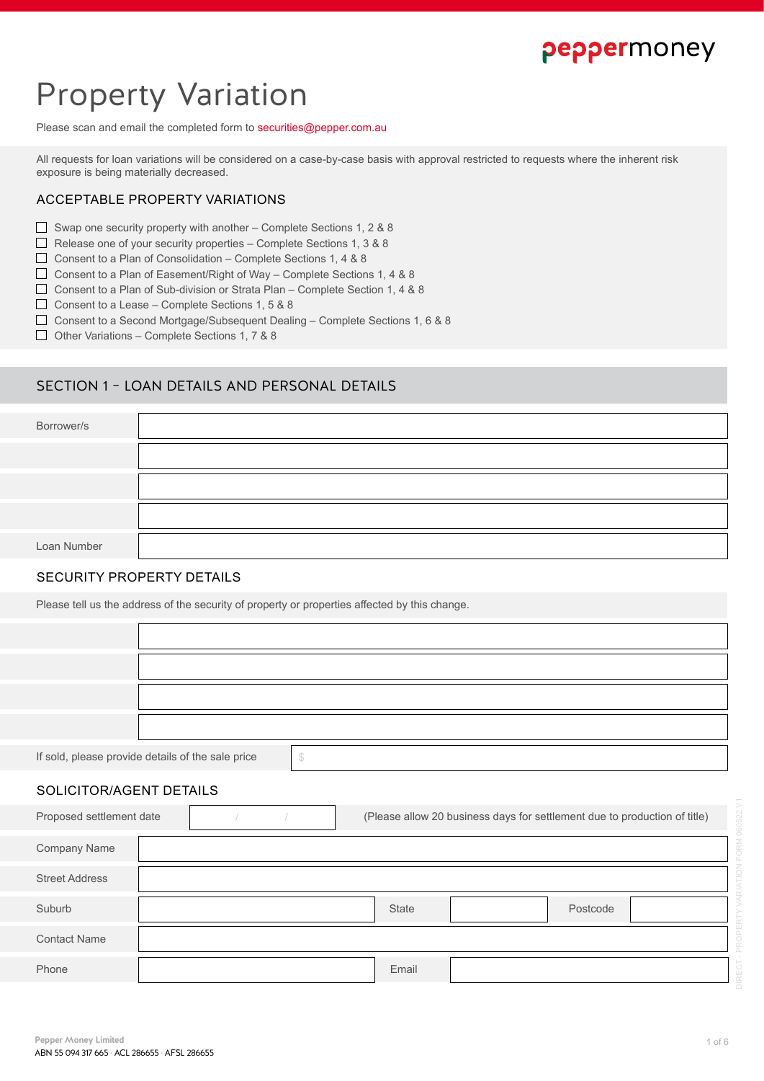## peppermoney

# Property Variation

Please scan and email the completed form to securities@pepper.com.au

All requests for loan variations will be considered on a case-by-case basis with approval restricted to requests where the inherent risk exposure is being materially decreased.

## ACCEPTABLE PROPERTY VARIATIONS

- Swap one security property with another Complete Sections 1, 2 & 8
- Release one of your security properties Complete Sections 1, 3 & 8
- Consent to a Plan of Consolidation Complete Sections 1, 4 & 8
- $\Box$  Consent to a Plan of Easement/Right of Way Complete Sections 1, 4 & 8
- □ Consent to a Plan of Sub-division or Strata Plan Complete Section 1, 4 & 8
- Consent to a Lease Complete Sections 1, 5 & 8
- Consent to a Second Mortgage/Subsequent Dealing Complete Sections 1, 6 & 8
- $\Box$  Other Variations Complete Sections 1, 7 & 8

## SECTION 1 – LOAN DETAILS AND PERSONAL DETAILS

| Borrower/s  |  |
|-------------|--|
|             |  |
|             |  |
|             |  |
| Loan Number |  |

#### SECURITY PROPERTY DETAILS

Please tell us the address of the security of property or properties affected by this change.

| please provide details of the sale price |  |
|------------------------------------------|--|

#### SOLICITOR/AGENT DETAILS

If  $s$ old,

| Proposed settlement date |  |  | (Please allow 20 business days for settlement due to production of title) |  |          |  |
|--------------------------|--|--|---------------------------------------------------------------------------|--|----------|--|
| <b>Company Name</b>      |  |  |                                                                           |  |          |  |
| <b>Street Address</b>    |  |  |                                                                           |  |          |  |
| Suburb                   |  |  | <b>State</b>                                                              |  | Postcode |  |
| <b>Contact Name</b>      |  |  |                                                                           |  |          |  |
| Phone                    |  |  | Email                                                                     |  |          |  |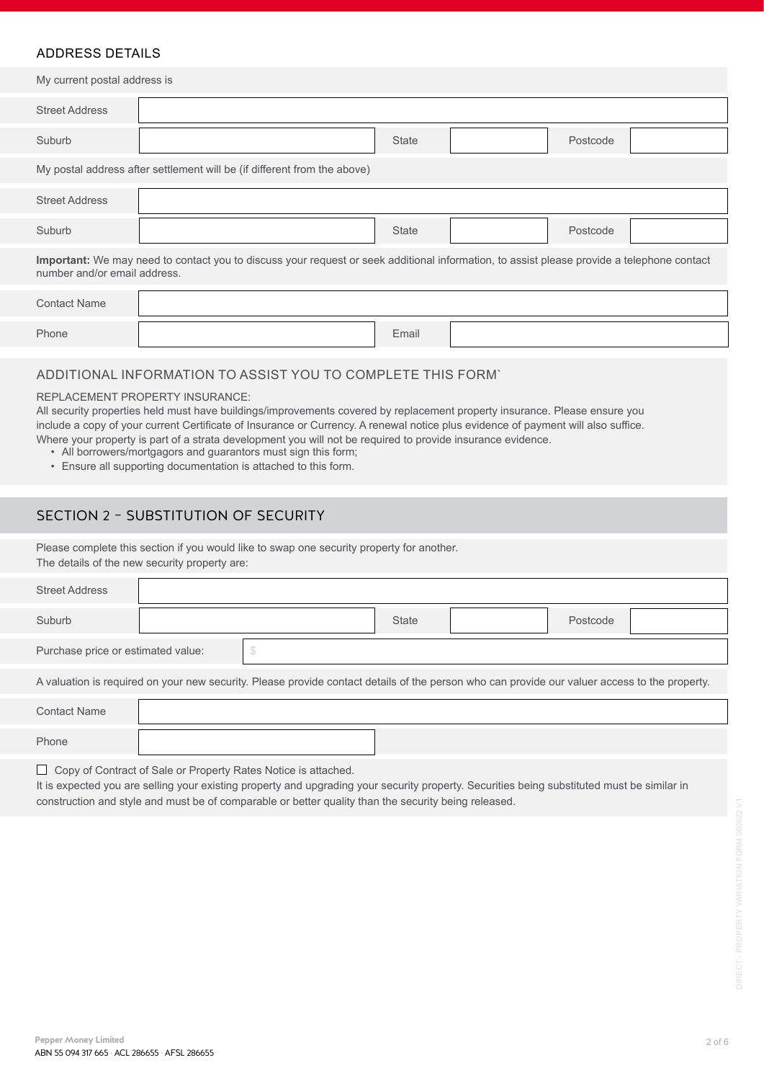## ADDRESS DETAILS

My current postal address is My postal address after settlement will be (if different from the above) Street Address Street Address Suburb Suburb **State State** Postcode Postcode **Important:** We may need to contact you to discuss your request or seek additional information, to assist please provide a telephone contact number and/or email address.

| <b>Contact Name</b> |       |  |
|---------------------|-------|--|
| Phone               | Email |  |

## ADDITIONAL INFORMATION TO ASSIST YOU TO COMPLETE THIS FORM`

#### REPLACEMENT PROPERTY INSURANCE:

All security properties held must have buildings/improvements covered by replacement property insurance. Please ensure you include a copy of your current Certificate of Insurance or Currency. A renewal notice plus evidence of payment will also suffice. Where your property is part of a strata development you will not be required to provide insurance evidence.

- All borrowers/mortgagors and guarantors must sign this form;
- Ensure all supporting documentation is attached to this form.

## SECTION 2 – SUBSTITUTION OF SECURITY

Please complete this section if you would like to swap one security property for another. The details of the new security property are:

| <b>Street Address</b>              |                                                                                                                                               |              |          |  |
|------------------------------------|-----------------------------------------------------------------------------------------------------------------------------------------------|--------------|----------|--|
| Suburb                             |                                                                                                                                               | <b>State</b> | Postcode |  |
| Purchase price or estimated value: | <sup>S</sup>                                                                                                                                  |              |          |  |
|                                    | A valuation is required on your new security. Please provide contact details of the person who can provide our valuer access to the property. |              |          |  |
| <b>Contact Name</b>                |                                                                                                                                               |              |          |  |
| Phone                              |                                                                                                                                               |              |          |  |

□ Copy of Contract of Sale or Property Rates Notice is attached.

It is expected you are selling your existing property and upgrading your security property. Securities being substituted must be similar in construction and style and must be of comparable or better quality than the security being released.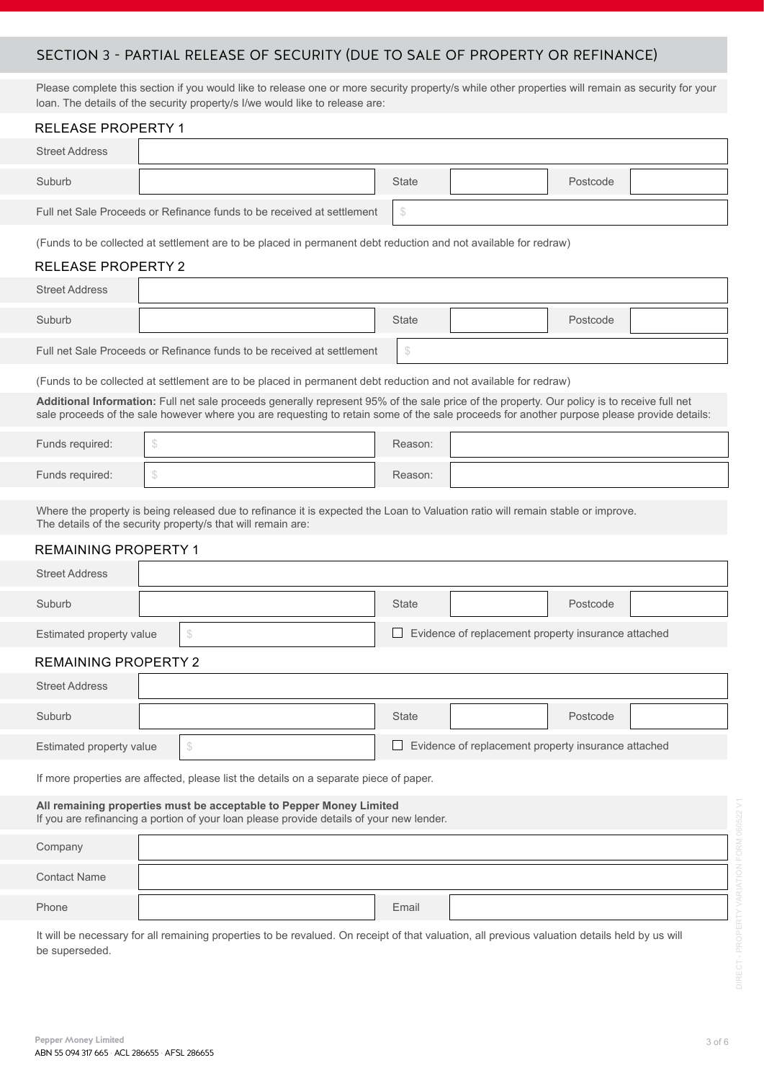## SECTION 3 - PARTIAL RELEASE OF SECURITY (DUE TO SALE OF PROPERTY OR REFINANCE)

Please complete this section if you would like to release one or more security property/s while other properties will remain as security for your loan. The details of the security property/s I/we would like to release are:

| <b>RELEASE PROPERTY 1</b>                                                              |                |                                                                                                                                                                                                                                                                                           |  |              |                                                     |          |  |
|----------------------------------------------------------------------------------------|----------------|-------------------------------------------------------------------------------------------------------------------------------------------------------------------------------------------------------------------------------------------------------------------------------------------|--|--------------|-----------------------------------------------------|----------|--|
| <b>Street Address</b>                                                                  |                |                                                                                                                                                                                                                                                                                           |  |              |                                                     |          |  |
| Suburb                                                                                 |                |                                                                                                                                                                                                                                                                                           |  | <b>State</b> |                                                     | Postcode |  |
|                                                                                        |                | Full net Sale Proceeds or Refinance funds to be received at settlement                                                                                                                                                                                                                    |  | \$           |                                                     |          |  |
|                                                                                        |                | (Funds to be collected at settlement are to be placed in permanent debt reduction and not available for redraw)                                                                                                                                                                           |  |              |                                                     |          |  |
| <b>RELEASE PROPERTY 2</b>                                                              |                |                                                                                                                                                                                                                                                                                           |  |              |                                                     |          |  |
| <b>Street Address</b>                                                                  |                |                                                                                                                                                                                                                                                                                           |  |              |                                                     |          |  |
| Suburb                                                                                 |                |                                                                                                                                                                                                                                                                                           |  | <b>State</b> |                                                     | Postcode |  |
|                                                                                        |                | Full net Sale Proceeds or Refinance funds to be received at settlement                                                                                                                                                                                                                    |  | \$           |                                                     |          |  |
|                                                                                        |                | (Funds to be collected at settlement are to be placed in permanent debt reduction and not available for redraw)                                                                                                                                                                           |  |              |                                                     |          |  |
|                                                                                        |                | Additional Information: Full net sale proceeds generally represent 95% of the sale price of the property. Our policy is to receive full net<br>sale proceeds of the sale however where you are requesting to retain some of the sale proceeds for another purpose please provide details: |  |              |                                                     |          |  |
| Funds required:                                                                        | $$\mathbb{S}$$ |                                                                                                                                                                                                                                                                                           |  | Reason:      |                                                     |          |  |
| Funds required:                                                                        | $$\mathbb{S}$$ |                                                                                                                                                                                                                                                                                           |  | Reason:      |                                                     |          |  |
|                                                                                        |                | Where the property is being released due to refinance it is expected the Loan to Valuation ratio will remain stable or improve.<br>The details of the security property/s that will remain are:                                                                                           |  |              |                                                     |          |  |
| <b>REMAINING PROPERTY 1</b>                                                            |                |                                                                                                                                                                                                                                                                                           |  |              |                                                     |          |  |
| <b>Street Address</b>                                                                  |                |                                                                                                                                                                                                                                                                                           |  |              |                                                     |          |  |
| Suburb                                                                                 |                |                                                                                                                                                                                                                                                                                           |  | <b>State</b> |                                                     | Postcode |  |
| Estimated property value                                                               |                | \$                                                                                                                                                                                                                                                                                        |  |              | Evidence of replacement property insurance attached |          |  |
| <b>REMAINING PROPERTY 2</b>                                                            |                |                                                                                                                                                                                                                                                                                           |  |              |                                                     |          |  |
| <b>Street Address</b>                                                                  |                |                                                                                                                                                                                                                                                                                           |  |              |                                                     |          |  |
| Suburb                                                                                 |                |                                                                                                                                                                                                                                                                                           |  | <b>State</b> |                                                     | Postcode |  |
| Estimated property value                                                               |                | $\mathcal{S}$                                                                                                                                                                                                                                                                             |  |              | Evidence of replacement property insurance attached |          |  |
| If more properties are affected, please list the details on a separate piece of paper. |                |                                                                                                                                                                                                                                                                                           |  |              |                                                     |          |  |
|                                                                                        |                | All remaining properties must be acceptable to Pepper Money Limited<br>If you are refinancing a portion of your loan please provide details of your new lender.                                                                                                                           |  |              |                                                     |          |  |
| Company                                                                                |                |                                                                                                                                                                                                                                                                                           |  |              |                                                     |          |  |
| <b>Contact Name</b>                                                                    |                |                                                                                                                                                                                                                                                                                           |  |              |                                                     |          |  |
| Phone                                                                                  |                |                                                                                                                                                                                                                                                                                           |  | Email        |                                                     |          |  |
|                                                                                        |                | It will be necessary for all remaining properties to be revalued. On receipt of that valuation, all previous valuation details held by us will                                                                                                                                            |  |              |                                                     |          |  |

be superseded.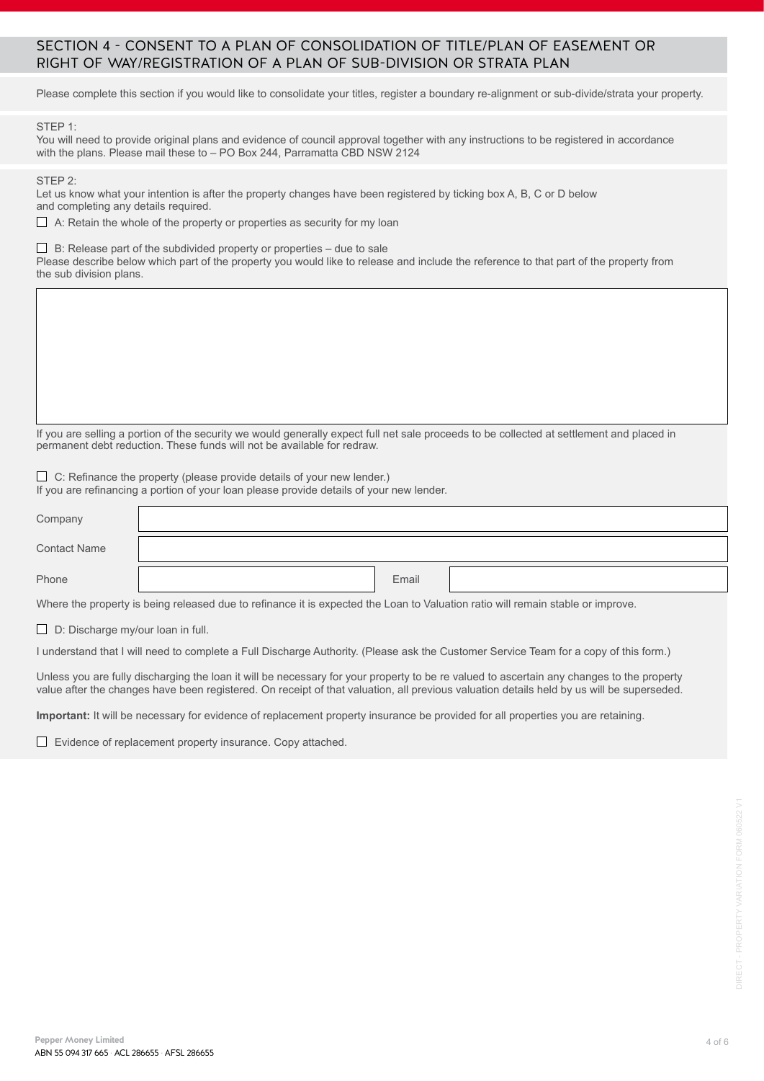## SECTION 4 - CONSENT TO A PLAN OF CONSOLIDATION OF TITLE/PLAN OF EASEMENT OR RIGHT OF WAY/REGISTRATION OF A PLAN OF SUB-DIVISION OR STRATA PLAN

Please complete this section if you would like to consolidate your titles, register a boundary re-alignment or sub-divide/strata your property.

#### STEP 1:

You will need to provide original plans and evidence of council approval together with any instructions to be registered in accordance with the plans. Please mail these to – PO Box 244, Parramatta CBD NSW 2124

STEP 2:

Let us know what your intention is after the property changes have been registered by ticking box A, B, C or D below and completing any details required.

 $\Box$  A: Retain the whole of the property or properties as security for my loan

 $\Box$  B: Release part of the subdivided property or properties – due to sale

Please describe below which part of the property you would like to release and include the reference to that part of the property from the sub division plans.

If you are selling a portion of the security we would generally expect full net sale proceeds to be collected at settlement and placed in permanent debt reduction. These funds will not be available for redraw.

 $\Box$  C: Refinance the property (please provide details of your new lender.)

If you are refinancing a portion of your loan please provide details of your new lender.

| Company             |       |  |
|---------------------|-------|--|
| <b>Contact Name</b> |       |  |
| Phone               | Email |  |

Where the property is being released due to refinance it is expected the Loan to Valuation ratio will remain stable or improve.

 $\Box$  D: Discharge my/our loan in full.

I understand that I will need to complete a Full Discharge Authority. (Please ask the Customer Service Team for a copy of this form.)

Unless you are fully discharging the loan it will be necessary for your property to be re valued to ascertain any changes to the property value after the changes have been registered. On receipt of that valuation, all previous valuation details held by us will be superseded.

**Important:** It will be necessary for evidence of replacement property insurance be provided for all properties you are retaining.

 $\Box$  Evidence of replacement property insurance. Copy attached.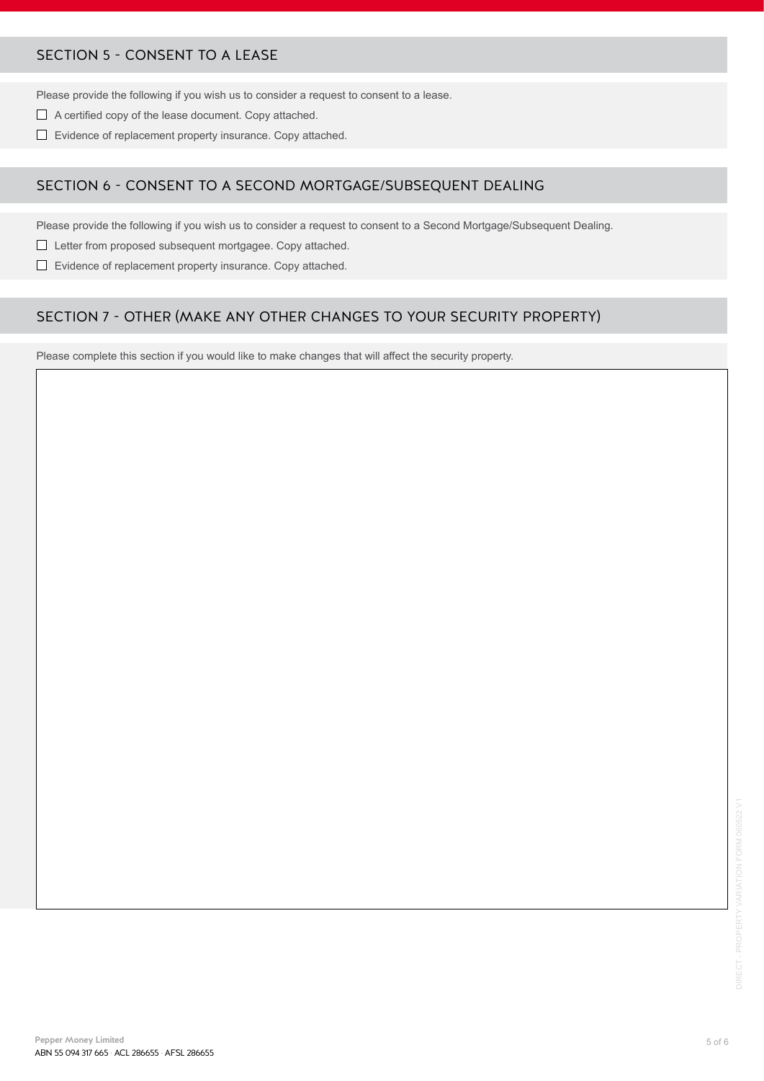## SECTION 5 - CONSENT TO A LEASE

Please provide the following if you wish us to consider a request to consent to a lease.

- A certified copy of the lease document. Copy attached.
- Evidence of replacement property insurance. Copy attached.

## SECTION 6 - CONSENT TO A SECOND MORTGAGE/SUBSEQUENT DEALING

Please provide the following if you wish us to consider a request to consent to a Second Mortgage/Subsequent Dealing.

- Letter from proposed subsequent mortgagee. Copy attached.
- $\Box$  Evidence of replacement property insurance. Copy attached.

## SECTION 7 - OTHER (MAKE ANY OTHER CHANGES TO YOUR SECURITY PROPERTY)

Please complete this section if you would like to make changes that will affect the security property.